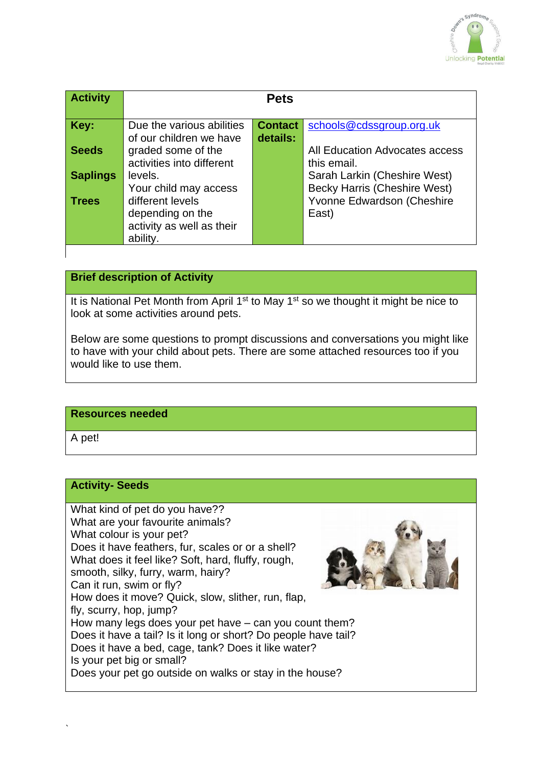

| <b>Activity</b> |                                                                               | <b>Pets</b>                |                                                                     |
|-----------------|-------------------------------------------------------------------------------|----------------------------|---------------------------------------------------------------------|
| Key:            | Due the various abilities<br>of our children we have                          | <b>Contact</b><br>details: | schools@cdssgroup.org.uk                                            |
| <b>Seeds</b>    | graded some of the<br>activities into different                               |                            | All Education Advocates access<br>this email.                       |
| <b>Saplings</b> | levels.<br>Your child may access                                              |                            | Sarah Larkin (Cheshire West)<br><b>Becky Harris (Cheshire West)</b> |
| <b>Trees</b>    | different levels<br>depending on the<br>activity as well as their<br>ability. |                            | Yvonne Edwardson (Cheshire<br>East)                                 |

# **Brief description of Activity**

It is National Pet Month from April 1<sup>st</sup> to May 1<sup>st</sup> so we thought it might be nice to look at some activities around pets.

Below are some questions to prompt discussions and conversations you might like to have with your child about pets. There are some attached resources too if you would like to use them.

#### **Resources needed**

A pet!

### **Activity- Seeds**

What kind of pet do you have?? What are your favourite animals? What colour is your pet? Does it have feathers, fur, scales or or a shell? What does it feel like? Soft, hard, fluffy, rough, smooth, silky, furry, warm, hairy? Can it run, swim or fly? How does it move? Quick, slow, slither, run, flap, fly, scurry, hop, jump? How many legs does your pet have – can you count them? Does it have a tail? Is it long or short? Do people have tail? Does it have a bed, cage, tank? Does it like water? Is your pet big or small? Does your pet go outside on walks or stay in the house?